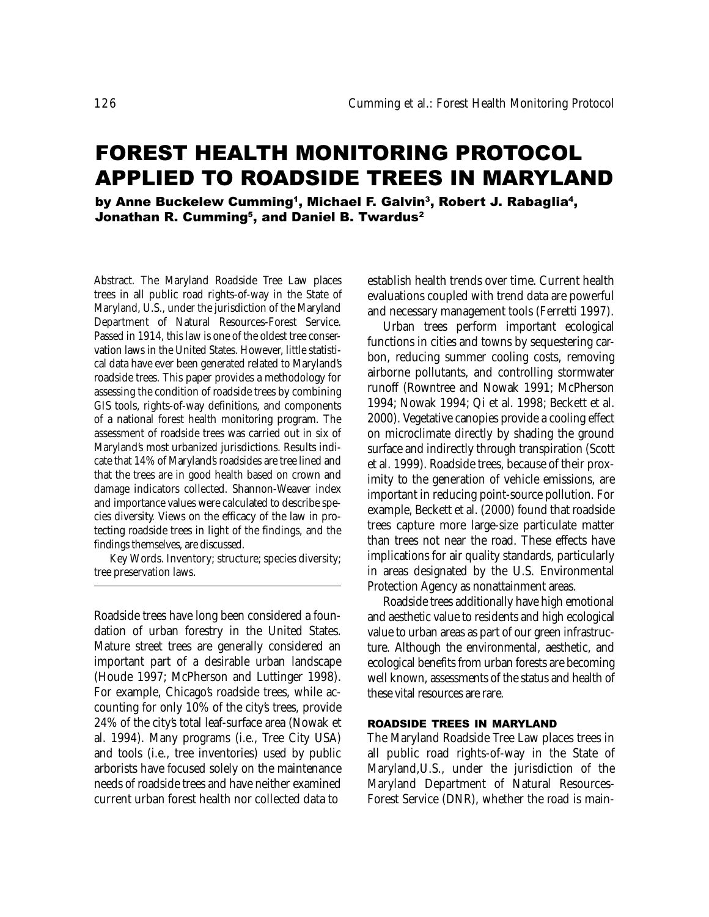# FOREST HEALTH MONITORING PROTOCOL APPLIED TO ROADSIDE TREES IN MARYLAND

by Anne Buckelew Cumming<sup>1</sup>, Michael F. Galvin<sup>3</sup>, Robert J. Rabaglia<sup>4</sup>, Jonathan R. Cumming<sup>5</sup>, and Daniel B. Twardus<sup>2</sup>

Abstract. The Maryland Roadside Tree Law places trees in all public road rights-of-way in the State of Maryland, U.S., under the jurisdiction of the Maryland Department of Natural Resources-Forest Service. Passed in 1914, this law is one of the oldest tree conservation laws in the United States. However, little statistical data have ever been generated related to Maryland's roadside trees. This paper provides a methodology for assessing the condition of roadside trees by combining GIS tools, rights-of-way definitions, and components of a national forest health monitoring program. The assessment of roadside trees was carried out in six of Maryland's most urbanized jurisdictions. Results indicate that 14% of Maryland's roadsides are tree lined and that the trees are in good health based on crown and damage indicators collected. Shannon-Weaver index and importance values were calculated to describe species diversity. Views on the efficacy of the law in protecting roadside trees in light of the findings, and the findings themselves, are discussed.

Key Words. Inventory; structure; species diversity; tree preservation laws.

Roadside trees have long been considered a foundation of urban forestry in the United States. Mature street trees are generally considered an important part of a desirable urban landscape (Houde 1997; McPherson and Luttinger 1998). For example, Chicago's roadside trees, while accounting for only 10% of the city's trees, provide 24% of the city's total leaf-surface area (Nowak et al. 1994). Many programs (i.e., Tree City USA) and tools (i.e., tree inventories) used by public arborists have focused solely on the maintenance needs of roadside trees and have neither examined current urban forest health nor collected data to

establish health trends over time. Current health evaluations coupled with trend data are powerful and necessary management tools (Ferretti 1997).

Urban trees perform important ecological functions in cities and towns by sequestering carbon, reducing summer cooling costs, removing airborne pollutants, and controlling stormwater runoff (Rowntree and Nowak 1991; McPherson 1994; Nowak 1994; Qi et al. 1998; Beckett et al. 2000). Vegetative canopies provide a cooling effect on microclimate directly by shading the ground surface and indirectly through transpiration (Scott et al. 1999). Roadside trees, because of their proximity to the generation of vehicle emissions, are important in reducing point-source pollution. For example, Beckett et al. (2000) found that roadside trees capture more large-size particulate matter than trees not near the road. These effects have implications for air quality standards, particularly in areas designated by the U.S. Environmental Protection Agency as nonattainment areas.

Roadside trees additionally have high emotional and aesthetic value to residents and high ecological value to urban areas as part of our green infrastructure. Although the environmental, aesthetic, and ecological benefits from urban forests are becoming well known, assessments of the status and health of these vital resources are rare.

#### ROADSIDE TREES IN MARYLAND

The Maryland Roadside Tree Law places trees in all public road rights-of-way in the State of Maryland,U.S., under the jurisdiction of the Maryland Department of Natural Resources-Forest Service (DNR), whether the road is main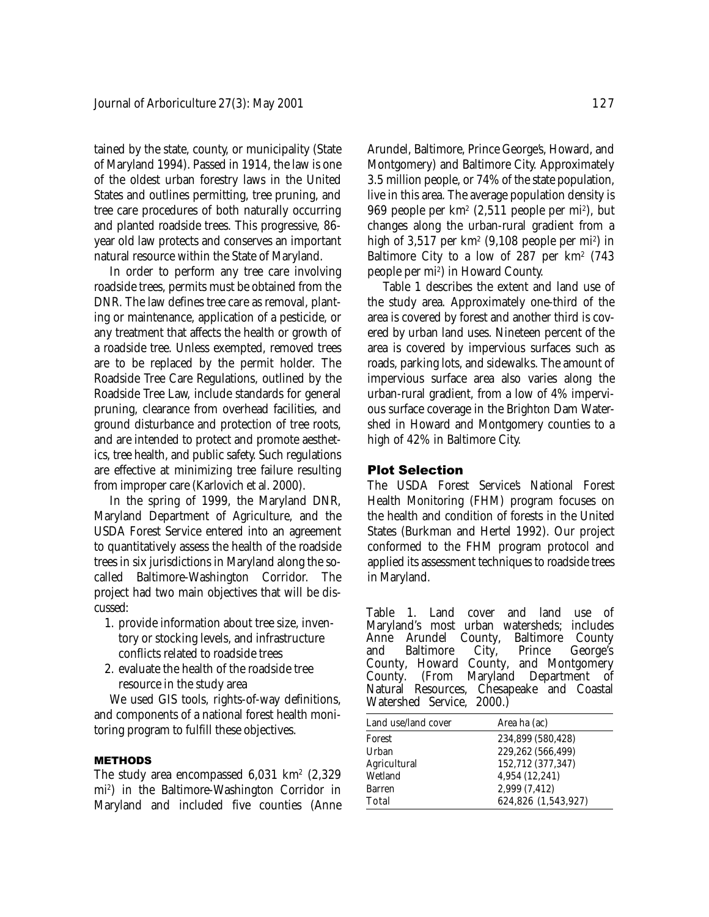tained by the state, county, or municipality (State of Maryland 1994). Passed in 1914, the law is one of the oldest urban forestry laws in the United States and outlines permitting, tree pruning, and tree care procedures of both naturally occurring and planted roadside trees. This progressive, 86 year old law protects and conserves an important natural resource within the State of Maryland.

In order to perform any tree care involving roadside trees, permits must be obtained from the DNR. The law defines tree care as removal, planting or maintenance, application of a pesticide, or any treatment that affects the health or growth of a roadside tree. Unless exempted, removed trees are to be replaced by the permit holder. The Roadside Tree Care Regulations, outlined by the Roadside Tree Law, include standards for general pruning, clearance from overhead facilities, and ground disturbance and protection of tree roots, and are intended to protect and promote aesthetics, tree health, and public safety. Such regulations are effective at minimizing tree failure resulting from improper care (Karlovich et al. 2000).

In the spring of 1999, the Maryland DNR, Maryland Department of Agriculture, and the USDA Forest Service entered into an agreement to quantitatively assess the health of the roadside trees in six jurisdictions in Maryland along the socalled Baltimore-Washington Corridor. The project had two main objectives that will be discussed:

- 1. provide information about tree size, inventory or stocking levels, and infrastructure conflicts related to roadside trees
- 2. evaluate the health of the roadside tree resource in the study area

We used GIS tools, rights-of-way definitions, and components of a national forest health monitoring program to fulfill these objectives.

#### METHODS

The study area encompassed  $6,031$  km<sup>2</sup>  $(2,329)$ mi2 ) in the Baltimore-Washington Corridor in Maryland and included five counties (Anne Arundel, Baltimore, Prince George's, Howard, and Montgomery) and Baltimore City. Approximately 3.5 million people, or 74% of the state population, live in this area. The average population density is 969 people per km2 (2,511 people per mi2 ), but changes along the urban-rural gradient from a high of 3,517 per km² (9,108 people per mi<sup>2</sup>) in Baltimore City to a low of 287 per  $km^2$  (743 people per mi2 ) in Howard County.

Table 1 describes the extent and land use of the study area. Approximately one-third of the area is covered by forest and another third is covered by urban land uses. Nineteen percent of the area is covered by impervious surfaces such as roads, parking lots, and sidewalks. The amount of impervious surface area also varies along the urban-rural gradient, from a low of 4% impervious surface coverage in the Brighton Dam Watershed in Howard and Montgomery counties to a high of 42% in Baltimore City.

### Plot Selection

The USDA Forest Service's National Forest Health Monitoring (FHM) program focuses on the health and condition of forests in the United States (Burkman and Hertel 1992). Our project conformed to the FHM program protocol and applied its assessment techniques to roadside trees in Maryland.

Table 1. Land cover and land use of Maryland's most urban watersheds; includes Anne Arundel County, Baltimore<br>and Baltimore City, Prince Baltimore City, Prince George's County, Howard County, and Montgomery (From Maryland Department of Natural Resources, Chesapeake and Coastal Watershed Service, 2000.)

| Land use/land cover | Area ha (ac)        |
|---------------------|---------------------|
| Forest              | 234,899 (580,428)   |
| Urban               | 229,262 (566,499)   |
| Agricultural        | 152,712 (377,347)   |
| Wetland             | 4,954 (12,241)      |
| Barren              | 2,999 (7,412)       |
| Total               | 624,826 (1,543,927) |
|                     |                     |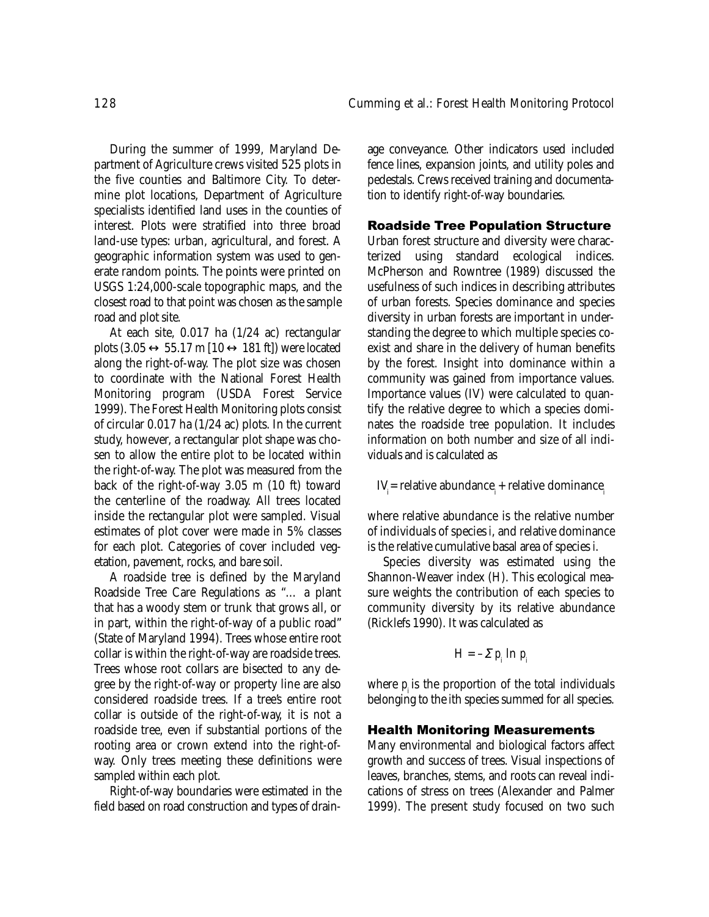During the summer of 1999, Maryland Department of Agriculture crews visited 525 plots in the five counties and Baltimore City. To determine plot locations, Department of Agriculture specialists identified land uses in the counties of interest. Plots were stratified into three broad land-use types: urban, agricultural, and forest. A geographic information system was used to generate random points. The points were printed on USGS 1:24,000-scale topographic maps, and the closest road to that point was chosen as the sample road and plot site.

At each site, 0.017 ha (1/24 ac) rectangular plots  $(3.05 \leftrightarrow 55.17 \text{ m } [10 \leftrightarrow 181 \text{ ft}])$  were located along the right-of-way. The plot size was chosen to coordinate with the National Forest Health Monitoring program (USDA Forest Service 1999). The Forest Health Monitoring plots consist of circular 0.017 ha (1/24 ac) plots. In the current study, however, a rectangular plot shape was chosen to allow the entire plot to be located within the right-of-way. The plot was measured from the back of the right-of-way 3.05 m (10 ft) toward the centerline of the roadway. All trees located inside the rectangular plot were sampled. Visual estimates of plot cover were made in 5% classes for each plot. Categories of cover included vegetation, pavement, rocks, and bare soil.

A roadside tree is defined by the Maryland Roadside Tree Care Regulations as "… a plant that has a woody stem or trunk that grows all, or in part, within the right-of-way of a public road" (State of Maryland 1994). Trees whose entire root collar is within the right-of-way are roadside trees. Trees whose root collars are bisected to any degree by the right-of-way or property line are also considered roadside trees. If a tree's entire root collar is outside of the right-of-way, it is not a roadside tree, even if substantial portions of the rooting area or crown extend into the right-ofway. Only trees meeting these definitions were sampled within each plot.

Right-of-way boundaries were estimated in the field based on road construction and types of drain-

age conveyance. Other indicators used included fence lines, expansion joints, and utility poles and pedestals. Crews received training and documentation to identify right-of-way boundaries.

### Roadside Tree Population Structure

Urban forest structure and diversity were characterized using standard ecological indices. McPherson and Rowntree (1989) discussed the usefulness of such indices in describing attributes of urban forests. Species dominance and species diversity in urban forests are important in understanding the degree to which multiple species coexist and share in the delivery of human benefits by the forest. Insight into dominance within a community was gained from importance values. Importance values (IV) were calculated to quantify the relative degree to which a species dominates the roadside tree population. It includes information on both number and size of all individuals and is calculated as

 $IV<sub>i</sub>$  = relative abundance<sub>*i*</sub> + relative dominance<sub>*i*</sub>

where relative abundance is the relative number of individuals of species *i*, and relative dominance is the relative cumulative basal area of species *i*.

Species diversity was estimated using the Shannon-Weaver index (H). This ecological measure weights the contribution of each species to community diversity by its relative abundance (Ricklefs 1990). It was calculated as

$$
H = -\Sigma p_i \ln p_i
$$

where  $p_i$  is the proportion of the total individuals belonging to the *i*th species summed for all species.

#### Health Monitoring Measurements

Many environmental and biological factors affect growth and success of trees. Visual inspections of leaves, branches, stems, and roots can reveal indications of stress on trees (Alexander and Palmer 1999). The present study focused on two such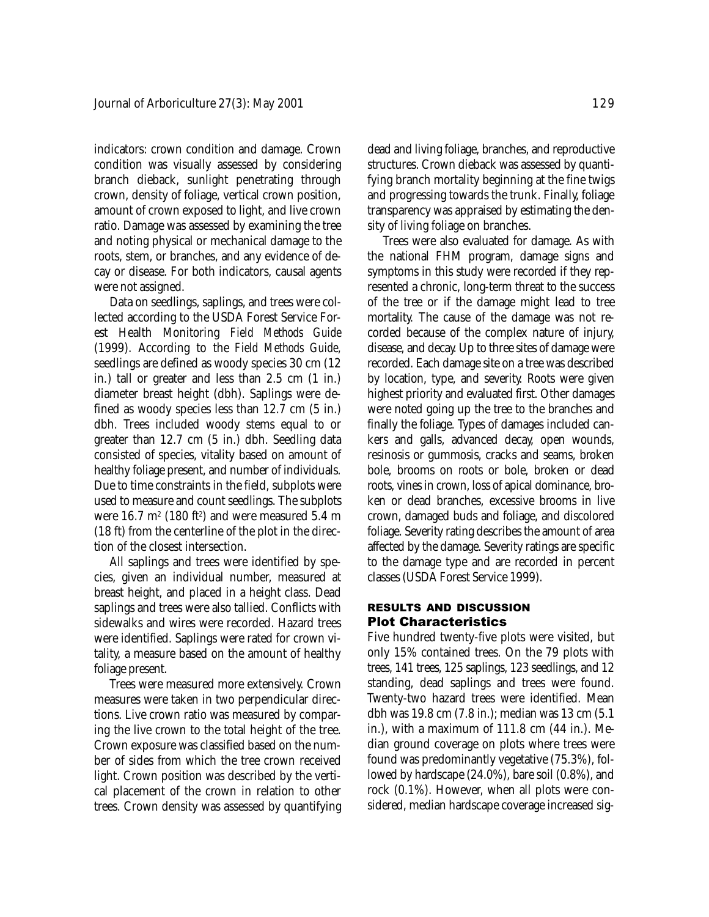indicators: crown condition and damage. Crown condition was visually assessed by considering branch dieback, sunlight penetrating through crown, density of foliage, vertical crown position, amount of crown exposed to light, and live crown ratio. Damage was assessed by examining the tree and noting physical or mechanical damage to the roots, stem, or branches, and any evidence of decay or disease. For both indicators, causal agents were not assigned.

Data on seedlings, saplings, and trees were collected according to the USDA Forest Service Forest Health Monitoring *Field Methods Guide* (1999). According to the *Field Methods Guide,* seedlings are defined as woody species 30 cm (12 in.) tall or greater and less than 2.5 cm (1 in.) diameter breast height (dbh). Saplings were defined as woody species less than 12.7 cm (5 in.) dbh. Trees included woody stems equal to or greater than 12.7 cm (5 in.) dbh. Seedling data consisted of species, vitality based on amount of healthy foliage present, and number of individuals. Due to time constraints in the field, subplots were used to measure and count seedlings. The subplots were  $16.7 \text{ m}^2$  (180 ft<sup>2</sup>) and were measured  $5.4 \text{ m}$ (18 ft) from the centerline of the plot in the direction of the closest intersection.

All saplings and trees were identified by species, given an individual number, measured at breast height, and placed in a height class. Dead saplings and trees were also tallied. Conflicts with sidewalks and wires were recorded. Hazard trees were identified. Saplings were rated for crown vitality, a measure based on the amount of healthy foliage present.

Trees were measured more extensively. Crown measures were taken in two perpendicular directions. Live crown ratio was measured by comparing the live crown to the total height of the tree. Crown exposure was classified based on the number of sides from which the tree crown received light. Crown position was described by the vertical placement of the crown in relation to other trees. Crown density was assessed by quantifying dead and living foliage, branches, and reproductive structures. Crown dieback was assessed by quantifying branch mortality beginning at the fine twigs and progressing towards the trunk. Finally, foliage transparency was appraised by estimating the density of living foliage on branches.

Trees were also evaluated for damage. As with the national FHM program, damage signs and symptoms in this study were recorded if they represented a chronic, long-term threat to the success of the tree or if the damage might lead to tree mortality. The cause of the damage was not recorded because of the complex nature of injury, disease, and decay. Up to three sites of damage were recorded. Each damage site on a tree was described by location, type, and severity. Roots were given highest priority and evaluated first. Other damages were noted going up the tree to the branches and finally the foliage. Types of damages included cankers and galls, advanced decay, open wounds, resinosis or gummosis, cracks and seams, broken bole, brooms on roots or bole, broken or dead roots, vines in crown, loss of apical dominance, broken or dead branches, excessive brooms in live crown, damaged buds and foliage, and discolored foliage. Severity rating describes the amount of area affected by the damage. Severity ratings are specific to the damage type and are recorded in percent classes (USDA Forest Service 1999).

# RESULTS AND DISCUSSION Plot Characteristics

Five hundred twenty-five plots were visited, but only 15% contained trees. On the 79 plots with trees, 141 trees, 125 saplings, 123 seedlings, and 12 standing, dead saplings and trees were found. Twenty-two hazard trees were identified. Mean dbh was 19.8 cm (7.8 in.); median was 13 cm (5.1 in.), with a maximum of 111.8 cm (44 in.). Median ground coverage on plots where trees were found was predominantly vegetative (75.3%), followed by hardscape (24.0%), bare soil (0.8%), and rock (0.1%). However, when all plots were considered, median hardscape coverage increased sig-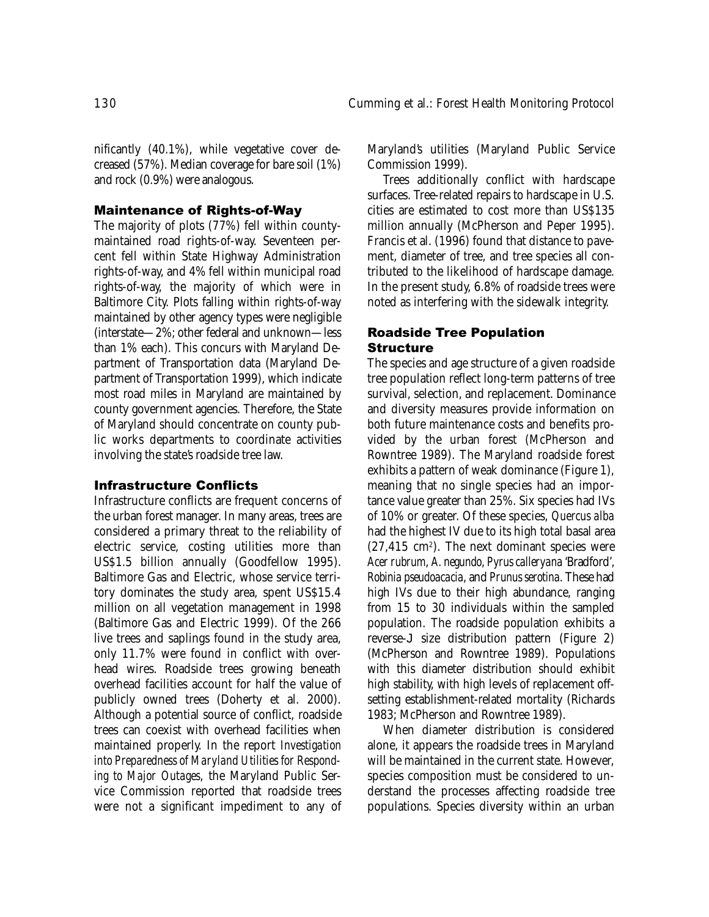nificantly (40.1%), while vegetative cover decreased (57%). Median coverage for bare soil (1%) and rock (0.9%) were analogous.

### Maintenance of Rights-of-Way

The majority of plots (77%) fell within countymaintained road rights-of-way. Seventeen percent fell within State Highway Administration rights-of-way, and 4% fell within municipal road rights-of-way, the majority of which were in Baltimore City. Plots falling within rights-of-way maintained by other agency types were negligible (interstate—2%; other federal and unknown—less than 1% each). This concurs with Maryland Department of Transportation data (Maryland Department of Transportation 1999), which indicate most road miles in Maryland are maintained by county government agencies. Therefore, the State of Maryland should concentrate on county public works departments to coordinate activities involving the state's roadside tree law.

## Infrastructure Conflicts

Infrastructure conflicts are frequent concerns of the urban forest manager. In many areas, trees are considered a primary threat to the reliability of electric service, costing utilities more than US\$1.5 billion annually (Goodfellow 1995). Baltimore Gas and Electric, whose service territory dominates the study area, spent US\$15.4 million on all vegetation management in 1998 (Baltimore Gas and Electric 1999). Of the 266 live trees and saplings found in the study area, only 11.7% were found in conflict with overhead wires. Roadside trees growing beneath overhead facilities account for half the value of publicly owned trees (Doherty et al. 2000). Although a potential source of conflict, roadside trees can coexist with overhead facilities when maintained properly. In the report *Investigation into Preparedness of Maryland Utilities for Responding to Major Outages*, the Maryland Public Service Commission reported that roadside trees were not a significant impediment to any of

Maryland's utilities (Maryland Public Service Commission 1999).

Trees additionally conflict with hardscape surfaces. Tree-related repairs to hardscape in U.S. cities are estimated to cost more than US\$135 million annually (McPherson and Peper 1995). Francis et al. (1996) found that distance to pavement, diameter of tree, and tree species all contributed to the likelihood of hardscape damage. In the present study, 6.8% of roadside trees were noted as interfering with the sidewalk integrity.

# Roadside Tree Population **Structure**

The species and age structure of a given roadside tree population reflect long-term patterns of tree survival, selection, and replacement. Dominance and diversity measures provide information on both future maintenance costs and benefits provided by the urban forest (McPherson and Rowntree 1989). The Maryland roadside forest exhibits a pattern of weak dominance (Figure 1), meaning that no single species had an importance value greater than 25%. Six species had IVs of 10% or greater. Of these species, *Quercus alba* had the highest IV due to its high total basal area  $(27, 415 \text{ cm}^2)$ . The next dominant species were *Acer rubrum*, *A. negundo*, *Pyrus calleryana* 'Bradford', *Robinia pseudoacacia*, and *Prunus serotina*. These had high IVs due to their high abundance, ranging from 15 to 30 individuals within the sampled population. The roadside population exhibits a reverse-J size distribution pattern (Figure 2) (McPherson and Rowntree 1989). Populations with this diameter distribution should exhibit high stability, with high levels of replacement offsetting establishment-related mortality (Richards 1983; McPherson and Rowntree 1989).

When diameter distribution is considered alone, it appears the roadside trees in Maryland will be maintained in the current state. However, species composition must be considered to understand the processes affecting roadside tree populations. Species diversity within an urban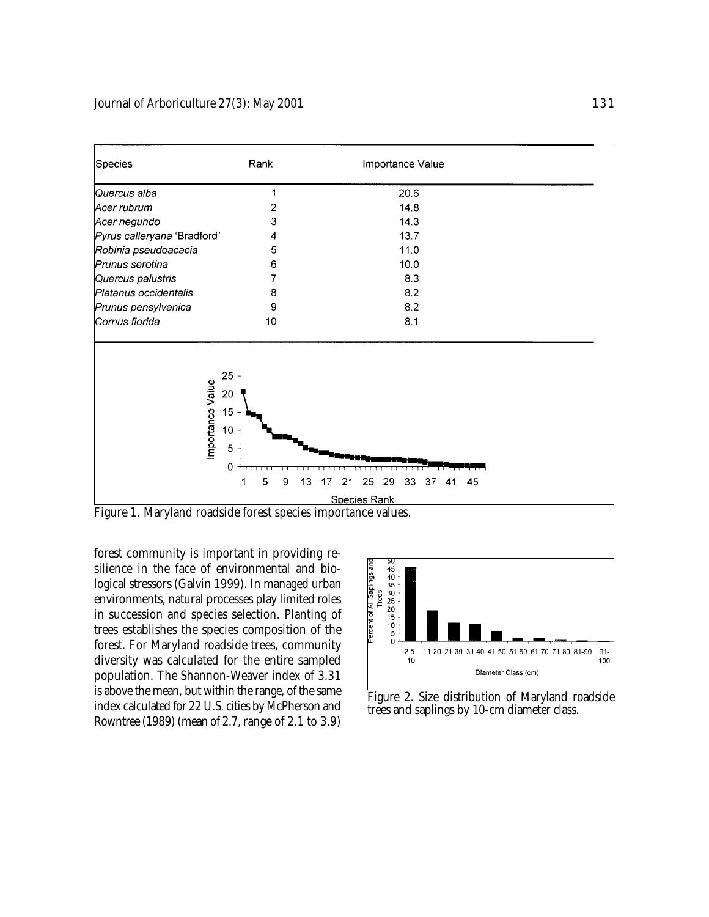

Figure 1. Maryland roadside forest species importance values.

forest community is important in providing resilience in the face of environmental and biological stressors (Galvin 1999). In managed urban environments, natural processes play limited roles in succession and species selection. Planting of trees establishes the species composition of the forest. For Maryland roadside trees, community diversity was calculated for the entire sampled population. The Shannon-Weaver index of 3.31 is above the mean, but within the range, of the same index calculated for 22 U.S. cities by McPherson and Rowntree (1989) (mean of 2.7, range of 2.1 to 3.9)



Figure 2. Size distribution of Maryland roadside trees and saplings by 10-cm diameter class.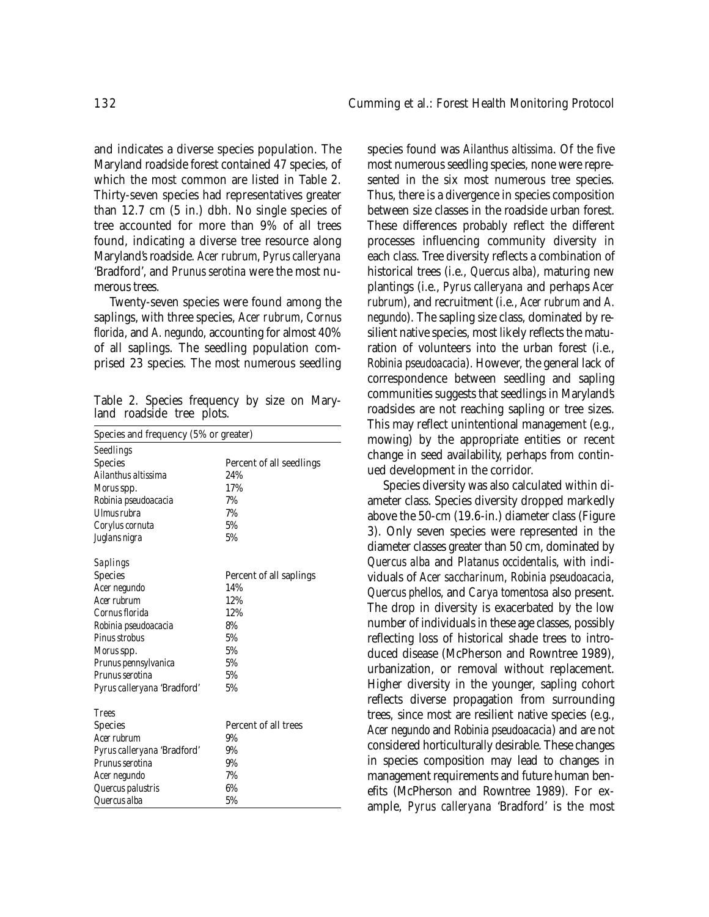and indicates a diverse species population. The Maryland roadside forest contained 47 species, of which the most common are listed in Table 2. Thirty-seven species had representatives greater than 12.7 cm (5 in.) dbh. No single species of tree accounted for more than 9% of all trees found, indicating a diverse tree resource along Maryland's roadside. *Acer rubrum*, *Pyrus calleryana* 'Bradford', and *Prunus serotina* were the most numerous trees.

Twenty-seven species were found among the saplings, with three species, *Acer rubrum*, *Cornus florida*, and *A. negundo*, accounting for almost 40% of all saplings. The seedling population comprised 23 species. The most numerous seedling

Table 2. Species frequency by size on Maryland roadside tree plots.

| Species and frequency (5% or greater) |                          |  |  |  |  |
|---------------------------------------|--------------------------|--|--|--|--|
| Seedlings                             |                          |  |  |  |  |
| Species                               | Percent of all seedlings |  |  |  |  |
| Ailanthus altissima                   | 24%                      |  |  |  |  |
| Morus spp.                            | 17%                      |  |  |  |  |
| Robinia pseudoacacia                  | 7%                       |  |  |  |  |
| I Ilmus rubra                         | 7%                       |  |  |  |  |
| Corylus cornuta                       | 5%                       |  |  |  |  |
| Juglans nigra                         | 5%                       |  |  |  |  |
| Saplings                              |                          |  |  |  |  |
| Species                               | Percent of all saplings  |  |  |  |  |
| Acer negundo                          | 14%                      |  |  |  |  |
| Acer rubrum                           | 12%                      |  |  |  |  |
| Cornus florida                        | 12%                      |  |  |  |  |
| Robinia pseudoacacia                  | 8%                       |  |  |  |  |
| Pinus strobus                         | 5%                       |  |  |  |  |
| Morus spp.                            | 5%                       |  |  |  |  |
| Prunus pennsylvanica                  | 5%                       |  |  |  |  |
| Prunus serotina                       | 5%                       |  |  |  |  |
| Pyrus calleryana 'Bradford'           | 5%                       |  |  |  |  |
| <b>Trees</b>                          |                          |  |  |  |  |
| Species                               | Percent of all trees     |  |  |  |  |
| Acer rubrum                           | 9%                       |  |  |  |  |
| Pyrus calleryana 'Bradford'           | 9%                       |  |  |  |  |
| Prunus serotina                       | 9%                       |  |  |  |  |
| Acer negundo                          | 7%                       |  |  |  |  |
| Quercus palustris                     | 6%                       |  |  |  |  |
| Quercus alba                          | 5%                       |  |  |  |  |

species found was *Ailanthus altissima*. Of the five most numerous seedling species, none were represented in the six most numerous tree species. Thus, there is a divergence in species composition between size classes in the roadside urban forest. These differences probably reflect the different processes influencing community diversity in each class. Tree diversity reflects a combination of historical trees (i.e., *Quercus alba*), maturing new plantings (i.e., *Pyrus calleryana* and perhaps *Acer rubrum*), and recruitment (i.e., *Acer rubrum* and *A. negundo*). The sapling size class, dominated by resilient native species, most likely reflects the maturation of volunteers into the urban forest (i.e., *Robinia pseudoacacia*). However, the general lack of correspondence between seedling and sapling communities suggests that seedlings in Maryland's roadsides are not reaching sapling or tree sizes. This may reflect unintentional management (e.g., mowing) by the appropriate entities or recent change in seed availability, perhaps from continued development in the corridor.

Species diversity was also calculated within diameter class. Species diversity dropped markedly above the 50-cm (19.6-in.) diameter class (Figure 3). Only seven species were represented in the diameter classes greater than 50 cm, dominated by *Quercus alba* and *Platanus occidentalis*, with individuals of *Acer saccharinum*, *Robinia pseudoacacia*, *Quercus phellos*, and *Carya tomentosa* also present. The drop in diversity is exacerbated by the low number of individuals in these age classes, possibly reflecting loss of historical shade trees to introduced disease (McPherson and Rowntree 1989), urbanization, or removal without replacement. Higher diversity in the younger, sapling cohort reflects diverse propagation from surrounding trees, since most are resilient native species (e.g., *Acer negundo* and *Robinia pseudoacacia*) and are not considered horticulturally desirable. These changes in species composition may lead to changes in management requirements and future human benefits (McPherson and Rowntree 1989). For example, *Pyrus calleryana* 'Bradford' is the most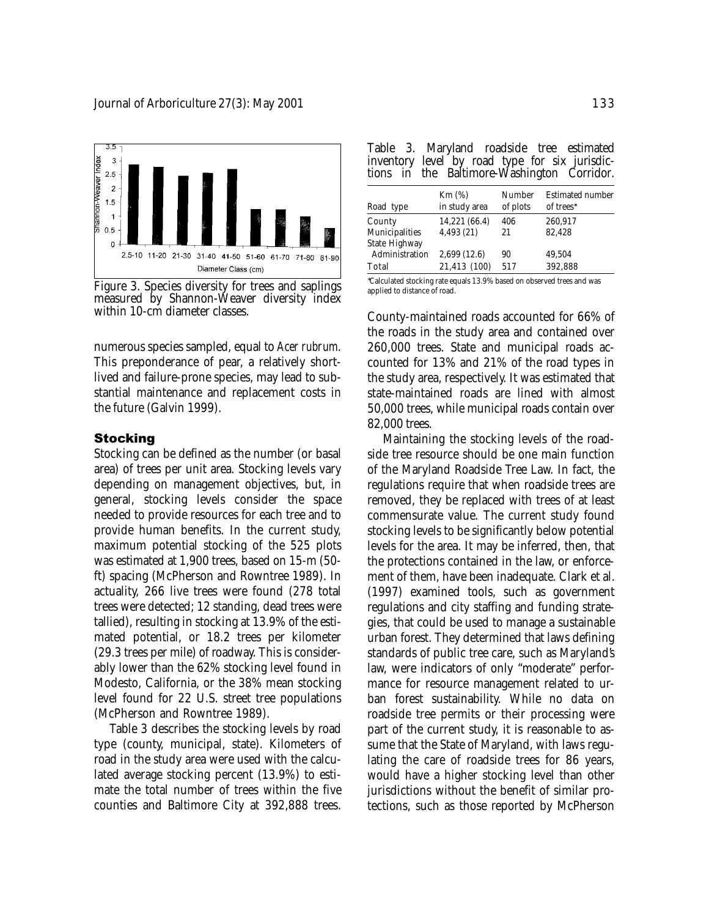

Figure 3. Species diversity for trees and saplings measured by Shannon-Weaver diversity index within 10-cm diameter classes.

numerous species sampled, equal to *Acer rubrum*. This preponderance of pear, a relatively shortlived and failure-prone species, may lead to substantial maintenance and replacement costs in the future (Galvin 1999).

# **Stocking**

Stocking can be defined as the number (or basal area) of trees per unit area. Stocking levels vary depending on management objectives, but, in general, stocking levels consider the space needed to provide resources for each tree and to provide human benefits. In the current study, maximum potential stocking of the 525 plots was estimated at 1,900 trees, based on 15-m (50 ft) spacing (McPherson and Rowntree 1989). In actuality, 266 live trees were found (278 total trees were detected; 12 standing, dead trees were tallied), resulting in stocking at 13.9% of the estimated potential, or 18.2 trees per kilometer (29.3 trees per mile) of roadway. This is considerably lower than the 62% stocking level found in Modesto, California, or the 38% mean stocking level found for 22 U.S. street tree populations (McPherson and Rowntree 1989).

Table 3 describes the stocking levels by road type (county, municipal, state). Kilometers of road in the study area were used with the calculated average stocking percent (13.9%) to estimate the total number of trees within the five counties and Baltimore City at 392,888 trees.

| Table 3. Maryland roadside tree estimated      |  |  |
|------------------------------------------------|--|--|
| inventory level by road type for six jurisdic- |  |  |
| tions in the Baltimore-Washington Corridor.    |  |  |

| Road type                       | $Km(\%)$<br>in study area | Number<br>of plots | <b>Estimated number</b><br>of trees* |
|---------------------------------|---------------------------|--------------------|--------------------------------------|
| County                          | 14,221 (66.4)             | 406                | 260,917                              |
| Municipalities<br>State Highway | 4,493(21)                 | 21                 | 82,428                               |
| Administration                  | 2,699 (12.6)              | 90                 | 49.504                               |
| Total                           | 21,413 (100)              | 517                | 392,888                              |
|                                 |                           |                    |                                      |

∗ Calculated stocking rate equals 13.9% based on observed trees and was applied to distance of road.

County-maintained roads accounted for 66% of the roads in the study area and contained over 260,000 trees. State and municipal roads accounted for 13% and 21% of the road types in the study area, respectively. It was estimated that state-maintained roads are lined with almost 50,000 trees, while municipal roads contain over 82,000 trees.

Maintaining the stocking levels of the roadside tree resource should be one main function of the Maryland Roadside Tree Law. In fact, the regulations require that when roadside trees are removed, they be replaced with trees of at least commensurate value. The current study found stocking levels to be significantly below potential levels for the area. It may be inferred, then, that the protections contained in the law, or enforcement of them, have been inadequate. Clark et al. (1997) examined tools, such as government regulations and city staffing and funding strategies, that could be used to manage a sustainable urban forest. They determined that laws defining standards of public tree care, such as Maryland's law, were indicators of only "moderate" performance for resource management related to urban forest sustainability. While no data on roadside tree permits or their processing were part of the current study, it is reasonable to assume that the State of Maryland, with laws regulating the care of roadside trees for 86 years, would have a higher stocking level than other jurisdictions without the benefit of similar protections, such as those reported by McPherson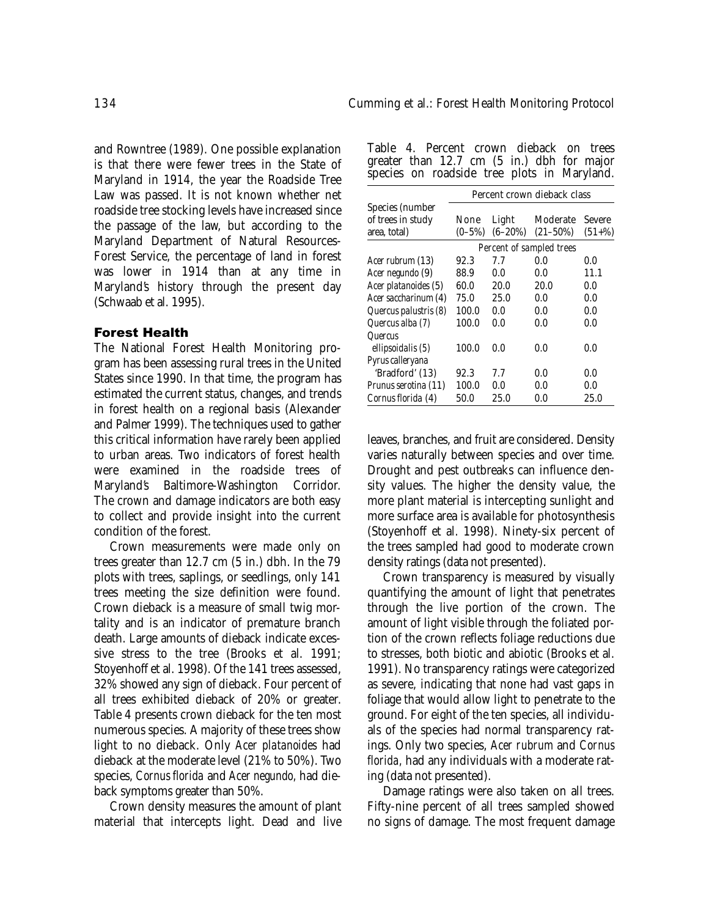and Rowntree (1989). One possible explanation is that there were fewer trees in the State of Maryland in 1914, the year the Roadside Tree Law was passed. It is not known whether net roadside tree stocking levels have increased since the passage of the law, but according to the Maryland Department of Natural Resources-Forest Service, the percentage of land in forest was lower in 1914 than at any time in Maryland's history through the present day (Schwaab et al. 1995).

## Forest Health

The National Forest Health Monitoring program has been assessing rural trees in the United States since 1990. In that time, the program has estimated the current status, changes, and trends in forest health on a regional basis (Alexander and Palmer 1999). The techniques used to gather this critical information have rarely been applied to urban areas. Two indicators of forest health were examined in the roadside trees of Maryland's Baltimore-Washington Corridor. The crown and damage indicators are both easy to collect and provide insight into the current condition of the forest.

Crown measurements were made only on trees greater than 12.7 cm (5 in.) dbh. In the 79 plots with trees, saplings, or seedlings, only 141 trees meeting the size definition were found. Crown dieback is a measure of small twig mortality and is an indicator of premature branch death. Large amounts of dieback indicate excessive stress to the tree (Brooks et al. 1991; Stoyenhoff et al. 1998). Of the 141 trees assessed, 32% showed any sign of dieback. Four percent of all trees exhibited dieback of 20% or greater. Table 4 presents crown dieback for the ten most numerous species. A majority of these trees show light to no dieback. Only *Acer platanoides* had dieback at the moderate level (21% to 50%). Two species, *Cornus florida* and *Acer negundo,* had dieback symptoms greater than 50%.

Crown density measures the amount of plant material that intercepts light. Dead and live

| Table 4. Percent crown dieback on trees              |  |  |  |  |
|------------------------------------------------------|--|--|--|--|
| greater than $12.7 \text{ cm}$ (5 in.) dbh for major |  |  |  |  |
| species on roadside tree plots in Maryland.          |  |  |  |  |

|                       | Percent crown dieback class |              |               |          |  |  |  |
|-----------------------|-----------------------------|--------------|---------------|----------|--|--|--|
| Species (number       |                             |              |               |          |  |  |  |
| of trees in study     | None                        | Light        | Moderate      | Severe   |  |  |  |
| area, total)          | $(0 - 5\%)$                 | $(6 - 20\%)$ | $(21 - 50\%)$ | $(51+%)$ |  |  |  |
|                       | Percent of sampled trees    |              |               |          |  |  |  |
| Acer rubrum (13)      | 92.3                        | 77           | 0.0           | 0.0      |  |  |  |
| Acer negundo (9)      | 88.9                        | 0.0          | 0.0           | 11.1     |  |  |  |
| Acer platanoides (5)  | 60.0                        | 20.0         | 20.0          | 0.0      |  |  |  |
| Acer saccharinum (4)  | 75.0                        | 25.0         | 0.0           | 0.0      |  |  |  |
| Quercus palustris (8) | 100.0                       | 0.0          | 0.0           | 0.0      |  |  |  |
| Quercus alba (7)      | 100.0                       | 0.0          | 0.0           | 0.0      |  |  |  |
| Quercus               |                             |              |               |          |  |  |  |
| ellipsoidalis (5)     | 100.0                       | 0.0          | 0.0           | 0.0      |  |  |  |
| Pyrus calleryana      |                             |              |               |          |  |  |  |
| 'Bradford' (13)       | 92.3                        | 77           | 0.0           | 0.0      |  |  |  |
| Prunus serotina (11)  | 100.0                       | 0.0          | 0.0           | 0.0      |  |  |  |
| Cornus florida (4)    | 50.0                        | 25.0         | 0.0           | 25.0     |  |  |  |

leaves, branches, and fruit are considered. Density varies naturally between species and over time. Drought and pest outbreaks can influence density values. The higher the density value, the more plant material is intercepting sunlight and more surface area is available for photosynthesis (Stoyenhoff et al. 1998). Ninety-six percent of the trees sampled had good to moderate crown density ratings (data not presented).

Crown transparency is measured by visually quantifying the amount of light that penetrates through the live portion of the crown. The amount of light visible through the foliated portion of the crown reflects foliage reductions due to stresses, both biotic and abiotic (Brooks et al. 1991). No transparency ratings were categorized as severe, indicating that none had vast gaps in foliage that would allow light to penetrate to the ground. For eight of the ten species, all individuals of the species had normal transparency ratings. Only two species, *Acer rubrum* and *Cornus florida,* had any individuals with a moderate rating (data not presented).

Damage ratings were also taken on all trees. Fifty-nine percent of all trees sampled showed no signs of damage. The most frequent damage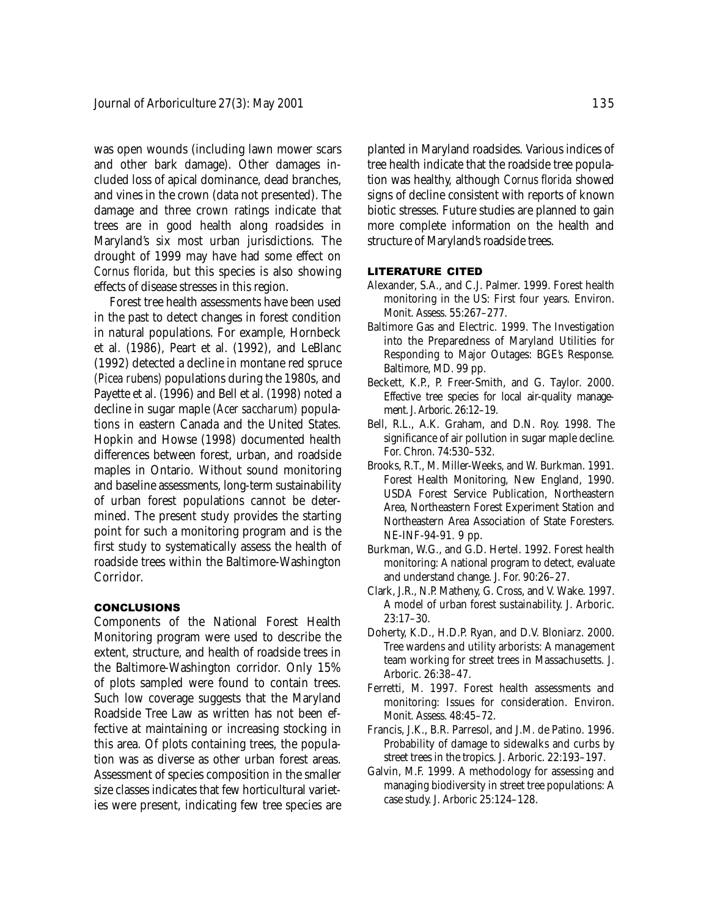was open wounds (including lawn mower scars and other bark damage). Other damages included loss of apical dominance, dead branches, and vines in the crown (data not presented). The damage and three crown ratings indicate that trees are in good health along roadsides in Maryland's six most urban jurisdictions. The drought of 1999 may have had some effect on *Cornus florida,* but this species is also showing effects of disease stresses in this region.

Forest tree health assessments have been used in the past to detect changes in forest condition in natural populations. For example, Hornbeck et al. (1986), Peart et al. (1992), and LeBlanc (1992) detected a decline in montane red spruce *(Picea rubens)* populations during the 1980s, and Payette et al. (1996) and Bell et al. (1998) noted a decline in sugar maple *(Acer saccharum)* populations in eastern Canada and the United States. Hopkin and Howse (1998) documented health differences between forest, urban, and roadside maples in Ontario. Without sound monitoring and baseline assessments, long-term sustainability of urban forest populations cannot be determined. The present study provides the starting point for such a monitoring program and is the first study to systematically assess the health of roadside trees within the Baltimore-Washington Corridor.

## **CONCLUSIONS**

Components of the National Forest Health Monitoring program were used to describe the extent, structure, and health of roadside trees in the Baltimore-Washington corridor. Only 15% of plots sampled were found to contain trees. Such low coverage suggests that the Maryland Roadside Tree Law as written has not been effective at maintaining or increasing stocking in this area. Of plots containing trees, the population was as diverse as other urban forest areas. Assessment of species composition in the smaller size classes indicates that few horticultural varieties were present, indicating few tree species are

planted in Maryland roadsides. Various indices of tree health indicate that the roadside tree population was healthy, although *Cornus florida* showed signs of decline consistent with reports of known biotic stresses. Future studies are planned to gain more complete information on the health and structure of Maryland's roadside trees.

#### LITERATURE CITED

- Alexander, S.A., and C.J. Palmer. 1999. Forest health monitoring in the US: First four years. Environ. Monit. Assess. 55:267–277.
- Baltimore Gas and Electric. 1999. The Investigation into the Preparedness of Maryland Utilities for Responding to Major Outages: BGE's Response. Baltimore, MD. 99 pp.
- Beckett, K.P., P. Freer-Smith, and G. Taylor. 2000. Effective tree species for local air-quality management. J. Arboric. 26:12–19.
- Bell, R.L., A.K. Graham, and D.N. Roy. 1998. The significance of air pollution in sugar maple decline. For. Chron. 74:530–532.
- Brooks, R.T., M. Miller-Weeks, and W. Burkman. 1991. Forest Health Monitoring, New England, 1990. USDA Forest Service Publication, Northeastern Area, Northeastern Forest Experiment Station and Northeastern Area Association of State Foresters. NE-INF-94-91. 9 pp.
- Burkman, W.G., and G.D. Hertel. 1992. Forest health monitoring: A national program to detect, evaluate and understand change. J. For. 90:26–27.
- Clark, J.R., N.P. Matheny, G. Cross, and V. Wake. 1997. A model of urban forest sustainability. J. Arboric. 23:17–30.
- Doherty, K.D., H.D.P. Ryan, and D.V. Bloniarz. 2000. Tree wardens and utility arborists: A management team working for street trees in Massachusetts. J. Arboric. 26:38–47.
- Ferretti, M. 1997. Forest health assessments and monitoring: Issues for consideration. Environ. Monit. Assess. 48:45–72.
- Francis, J.K., B.R. Parresol, and J.M. de Patino. 1996. Probability of damage to sidewalks and curbs by street trees in the tropics. J. Arboric. 22:193–197.
- Galvin, M.F. 1999. A methodology for assessing and managing biodiversity in street tree populations: A case study. J. Arboric 25:124–128.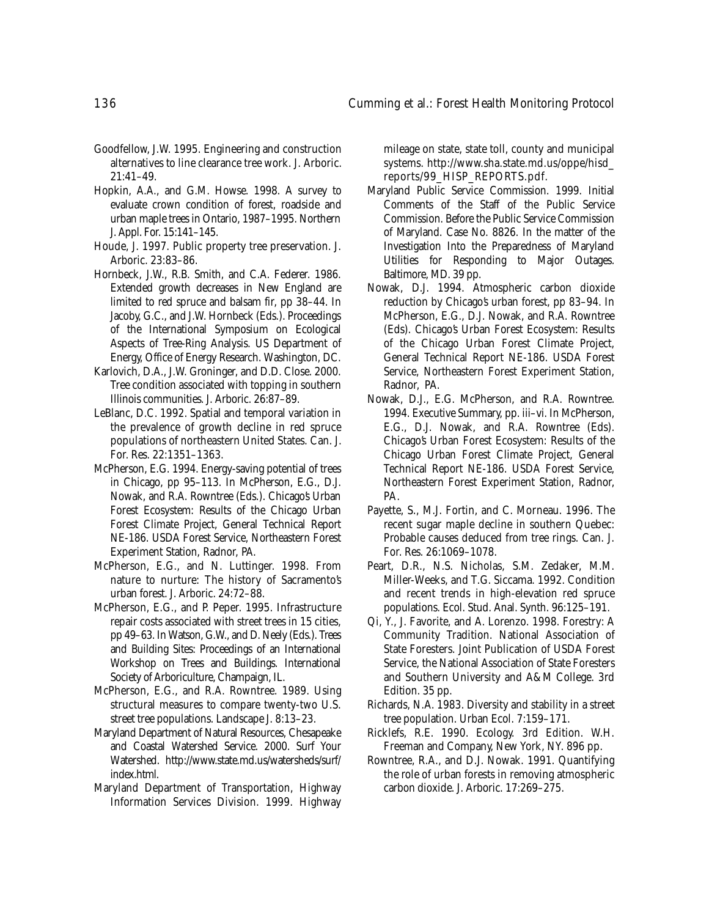- Goodfellow, J.W. 1995. Engineering and construction alternatives to line clearance tree work. J. Arboric.  $21:41-49.$
- Hopkin, A.A., and G.M. Howse. 1998. A survey to evaluate crown condition of forest, roadside and urban maple trees in Ontario, 1987–1995. Northern J. Appl. For. 15:141–145.
- Houde, J. 1997. Public property tree preservation. J. Arboric. 23:83–86.
- Hornbeck, J.W., R.B. Smith, and C.A. Federer. 1986. Extended growth decreases in New England are limited to red spruce and balsam fir, pp 38–44. In Jacoby, G.C., and J.W. Hornbeck (Eds.). Proceedings of the International Symposium on Ecological Aspects of Tree-Ring Analysis. US Department of Energy, Office of Energy Research. Washington, DC.
- Karlovich, D.A., J.W. Groninger, and D.D. Close. 2000. Tree condition associated with topping in southern Illinois communities. J. Arboric. 26:87–89.
- LeBlanc, D.C. 1992. Spatial and temporal variation in the prevalence of growth decline in red spruce populations of northeastern United States. Can. J. For. Res. 22:1351–1363.
- McPherson, E.G. 1994. Energy-saving potential of trees in Chicago, pp 95–113. In McPherson, E.G., D.J. Nowak, and R.A. Rowntree (Eds.). Chicago's Urban Forest Ecosystem: Results of the Chicago Urban Forest Climate Project, General Technical Report NE-186. USDA Forest Service, Northeastern Forest Experiment Station, Radnor, PA.
- McPherson, E.G., and N. Luttinger. 1998. From nature to nurture: The history of Sacramento's urban forest. J. Arboric. 24:72–88.
- McPherson, E.G., and P. Peper. 1995. Infrastructure repair costs associated with street trees in 15 cities, pp 49–63. In Watson, G.W., and D. Neely (Eds.). Trees and Building Sites: Proceedings of an International Workshop on Trees and Buildings. International Society of Arboriculture, Champaign, IL.
- McPherson, E.G., and R.A. Rowntree. 1989. Using structural measures to compare twenty-two U.S. street tree populations. Landscape J. 8:13–23.
- Maryland Department of Natural Resources, Chesapeake and Coastal Watershed Service. 2000. Surf Your Watershed. http://www.state.md.us/watersheds/surf/ index.html.
- Maryland Department of Transportation, Highway Information Services Division. 1999. Highway

mileage on state, state toll, county and municipal systems. http://www.sha.state.md.us/oppe/hisd\_ reports/99\_HISP\_REPORTS.pdf.

- Maryland Public Service Commission. 1999. Initial Comments of the Staff of the Public Service Commission. Before the Public Service Commission of Maryland. Case No. 8826. In the matter of the Investigation Into the Preparedness of Maryland Utilities for Responding to Major Outages. Baltimore, MD. 39 pp.
- Nowak, D.J. 1994. Atmospheric carbon dioxide reduction by Chicago's urban forest, pp 83–94. In McPherson, E.G., D.J. Nowak, and R.A. Rowntree (Eds). Chicago's Urban Forest Ecosystem: Results of the Chicago Urban Forest Climate Project, General Technical Report NE-186. USDA Forest Service, Northeastern Forest Experiment Station, Radnor, PA.
- Nowak, D.J., E.G. McPherson, and R.A. Rowntree. 1994. Executive Summary, pp. iii–vi. In McPherson, E.G., D.J. Nowak, and R.A. Rowntree (Eds). Chicago's Urban Forest Ecosystem: Results of the Chicago Urban Forest Climate Project, General Technical Report NE-186. USDA Forest Service, Northeastern Forest Experiment Station, Radnor, PA.
- Payette, S., M.J. Fortin, and C. Morneau. 1996. The recent sugar maple decline in southern Quebec: Probable causes deduced from tree rings. Can. J. For. Res. 26:1069–1078.
- Peart, D.R., N.S. Nicholas, S.M. Zedaker, M.M. Miller-Weeks, and T.G. Siccama. 1992. Condition and recent trends in high-elevation red spruce populations. Ecol. Stud. Anal. Synth. 96:125–191.
- Qi, Y., J. Favorite, and A. Lorenzo. 1998. Forestry: A Community Tradition. National Association of State Foresters. Joint Publication of USDA Forest Service, the National Association of State Foresters and Southern University and A&M College. 3rd Edition. 35 pp.
- Richards, N.A. 1983. Diversity and stability in a street tree population. Urban Ecol. 7:159–171.
- Ricklefs, R.E. 1990. Ecology. 3rd Edition. W.H. Freeman and Company, New York, NY. 896 pp.
- Rowntree, R.A., and D.J. Nowak. 1991. Quantifying the role of urban forests in removing atmospheric carbon dioxide. J. Arboric. 17:269–275.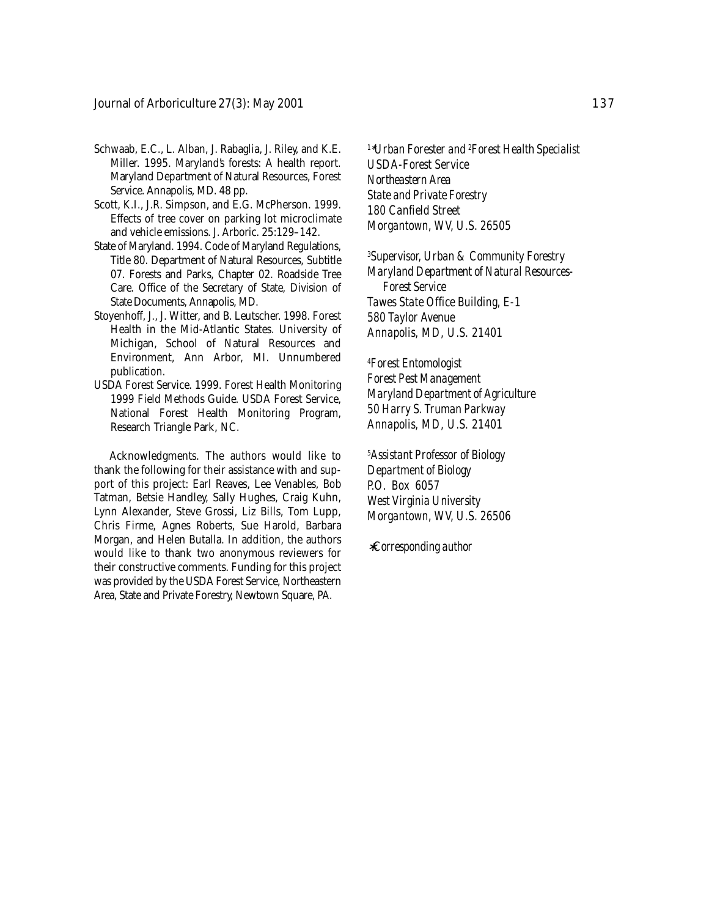- Schwaab, E.C., L. Alban, J. Rabaglia, J. Riley, and K.E. Miller. 1995. Maryland's forests: A health report. Maryland Department of Natural Resources, Forest Service. Annapolis, MD. 48 pp.
- Scott, K.I., J.R. Simpson, and E.G. McPherson. 1999. Effects of tree cover on parking lot microclimate and vehicle emissions. J. Arboric. 25:129–142.
- State of Maryland. 1994. Code of Maryland Regulations, Title 80. Department of Natural Resources, Subtitle 07. Forests and Parks, Chapter 02. Roadside Tree Care. Office of the Secretary of State, Division of State Documents, Annapolis, MD.
- Stoyenhoff, J., J. Witter, and B. Leutscher. 1998. Forest Health in the Mid-Atlantic States. University of Michigan, School of Natural Resources and Environment, Ann Arbor, MI. Unnumbered publication.
- USDA Forest Service. 1999. Forest Health Monitoring 1999 Field Methods Guide. USDA Forest Service, National Forest Health Monitoring Program, Research Triangle Park, NC.

Acknowledgments. The authors would like to thank the following for their assistance with and support of this project: Earl Reaves, Lee Venables, Bob Tatman, Betsie Handley, Sally Hughes, Craig Kuhn, Lynn Alexander, Steve Grossi, Liz Bills, Tom Lupp, Chris Firme, Agnes Roberts, Sue Harold, Barbara Morgan, and Helen Butalla. In addition, the authors would like to thank two anonymous reviewers for their constructive comments. Funding for this project was provided by the USDA Forest Service, Northeastern Area, State and Private Forestry, Newtown Square, PA.

*<sup>1</sup>*∗*Urban Forester and 2 Forest Health Specialist USDA-Forest Service Northeastern Area State and Private Forestry 180 Canfield Street Morgantown, WV, U.S. 26505*

*3 Supervisor, Urban & Community Forestry Maryland Department of Natural Resources-Forest Service Tawes State Office Building, E-1 580 Taylor Avenue Annapolis, MD, U.S. 21401*

*4 Forest Entomologist Forest Pest Management Maryland Department of Agriculture 50 Harry S. Truman Parkway Annapolis, MD, U.S. 21401*

*5 Assistant Professor of Biology Department of Biology P.O. Box 6057 West Virginia University Morgantown, WV, U.S. 26506*

∗*Corresponding author*